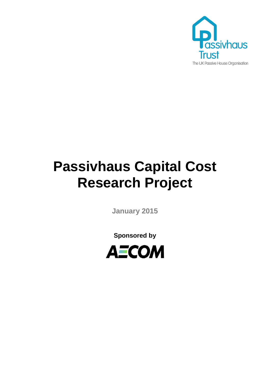

# **Passivhaus Capital Cost Research Project**

**January 2015**

**Sponsored by**

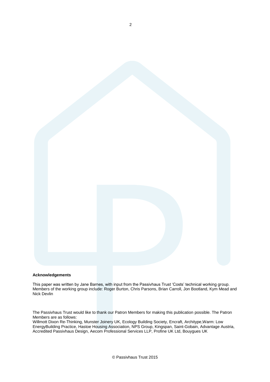

#### **Acknowledgements**

This paper was written by Jane Barnes, with input from the Passivhaus Trust 'Costs' technical working group. Members of the working group include: Roger Burton, Chris Parsons, Brian Carroll, Jon Bootland, Kym Mead and Nick Devlin

The Passivhaus Trust would like to thank our Patron Members for making this publication possible. The Patron Members are as follows:

Willmott Dixon Re-Thinking, Munster Joinery UK, Ecology Building Society, Encraft, Architype,Warm: Low EnergyBuilding Practice, Hastoe Housing Association, NPS Group, Kingspan, Saint-Gobain, Advantage Austria, Accredited Passivhaus Design, Aecom Professional Services LLP, Profine UK Ltd, Bouygues UK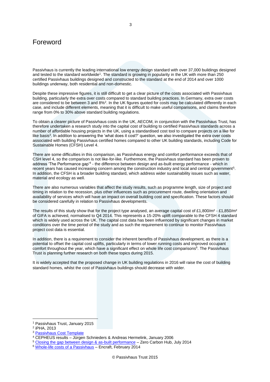# Foreword

Passivhaus is currently the leading international low energy design standard with over 37,000 buildings designed and tested to the standard worldwide<sup>1</sup>. The standard is growing in popularity in the UK with more than 250 certified Passivhaus buildings designed and constructed to the standard at the end of 2014 and over 1000 buildings underway, both residential and non-domestic.

Despite these impressive figures, it is still difficult to get a clear picture of the costs associated with Passivhaus building, particularly the extra over costs compared to standard building practices. In Germany, extra over costs are considered to be between 3 and 8%<sup>2</sup>. In the UK figures quoted for costs may be calculated differently in each case, and include different elements, meaning that it is difficult to make useful comparisons, and claims therefore range from 0% to 30% above standard building regulations.

To obtain a clearer picture of Passivhaus costs in the UK, AECOM, in conjunction with the Passivhaus Trust, has therefore undertaken a research study into the capital cost of building to certified Passivhaus standards across a number of affordable housing projects in the UK, using a standardised cost tool to compare projects on a like for like basis<sup>3</sup>. In addition to answering the 'what does it cost?' question, we also investigated the extra over costs associated with building Passivhaus certified homes compared to other UK building standards, including Code for Sustainable Homes (CFSH) Level 4.

There are some difficulties in this comparison, as Passivhaus energy and comfort performance exceeds that of CSH level 4, so the comparison is not like-for-like. Furthermore, the Passivhaus standard has been proven to address 'The Performance gap'<sup>4</sup> - the difference between design and as-built energy performance - which in recent years has caused increasing concern among the construction industry and local and central government<sup>5</sup>. In addition, the CFSH is a broader building standard, which address wider sustainability issues such as water, material and ecology as well.

There are also numerous variables that affect the study results, such as programme length, size of project and timing in relation to the recession, plus other influences such as procurement route, dwelling orientation and availability of services which will have an impact on overall building cost and specification. These factors should be considered carefully in relation to Passivhaus developments.

The results of this study show that for the project type analysed, an average capital cost of £1,800/m<sup>2</sup> - £1,850/m<sup>2</sup> of GIFA is achieved, normalised to Q4 2014. This represents a 15-20% uplift comparable to the CFSH 4 standard which is widely used across the UK. The capital cost data has been influenced by significant changes in market conditions over the time period of the study and as such the requirement to continue to monitor Passivhaus project cost data is essential.

In addition, there is a requirement to consider the inherent benefits of Passivhaus development, as there is a potential to offset the capital cost uplifts, particularly in terms of lower running costs and improved occupant comfort throughout the year, which have a significant effect on whole life cost comparisons<sup>6</sup>. The Passivhaus Trust is planning further research on both these topics during 2015.

It is widely accepted that the proposed change in UK building regulations in 2016 will raise the cost of building standard homes, whilst the cost of Passivhaus buildings should decrease with wider.

<sup>&</sup>lt;u>.</u> <sup>1</sup> Passivhaus Trust, January 2015

<sup>2</sup> iPHA, 2013

<sup>3</sup> [Passivhaus Cost Template](http://passivhaustrust.org.uk/guidance_detail.php?gId=22#.Wgmq6mi0NPZ)

<sup>4</sup> CEPHEUS results – Jürgen Schnieders & Andreas Hermelink, January 2006

<sup>5</sup> [Closing the gap between design & as-built performance](http://www.zerocarbonhub.org/sites/default/files/resources/reports/Design_vs_As_Built_Performance_Gap_End_of_Term_Report_0.pdf) – Zero Carbon Hub, July 2014

<sup>6</sup> [Whole-life costs of a](http://www.encraft.co.uk/wp-content/uploads/2014/02/Technical-Insight-February-2014-Whole-life-Costs-of-a-Passivhaus.pdf) Passivhaus – Encraft, February 2014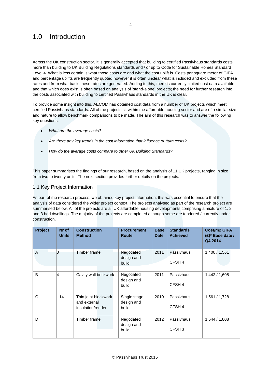# 1.0 Introduction

Across the UK construction sector, it is generally accepted that building to certified Passivhaus standards costs more than building to UK Building Regulations standards and / or up to Code for Sustainable Homes Standard Level 4. What is less certain is what those costs are and what the cost uplift is. Costs per square meter of GIFA and percentage uplifts are frequently quoted however it is often unclear what is included and excluded from these rates and from what basis these rates are generated. Adding to this, there is currently limited cost data available and that which does exist is often based on analysis of 'stand-alone' projects; the need for further research into the costs associated with building to certified Passivhaus standards in the UK is clear.

To provide some insight into this, AECOM has obtained cost data from a number of UK projects which meet certified Passivhaus standards. All of the projects sit within the affordable housing sector and are of a similar size and nature to allow benchmark comparisons to be made. The aim of this research was to answer the following key questions:

- *What are the average costs?*
- *Are there any key trends in the cost information that influence outturn costs?*
- *How do the average costs compare to other UK Building Standards?*

This paper summarises the findings of our research, based on the analysis of 11 UK projects, ranging in size from two to twenty units. The next section provides further details on the projects.

# 1.1 Key Project Information

As part of the research process, we obtained key project information; this was essential to ensure that the analysis of data considered the wider project context. The projects analysed as part of the research project are summarised below. All of the projects are all UK affordable housing developments comprising a mixture of 1, 2 and 3 bed dwellings. The majority of the projects are completed although some are tendered / currently under construction.

| Project | Nr of<br><b>Units</b> | <b>Construction</b><br><b>Method</b>                      | <b>Procurement</b><br><b>Route</b>  | <b>Base</b><br><b>Date</b> | <b>Standards</b><br><b>Achieved</b> | Cost/m2 GIFA<br>$(E)^*$ Base date /<br>Q4 2014 |
|---------|-----------------------|-----------------------------------------------------------|-------------------------------------|----------------------------|-------------------------------------|------------------------------------------------|
| A       | n                     | Timber frame                                              | Negotiated<br>design and<br>build   | 2011                       | Passivhaus<br>CFSH <sub>4</sub>     | 1,400 / 1,561                                  |
| B       | 4                     | Cavity wall brickwork                                     | Negotiated<br>design and<br>build   | 2011                       | Passivhaus<br>CFSH <sub>4</sub>     | 1,442/1,608                                    |
| C       | 14                    | Thin joint blockwork<br>and external<br>insulation/render | Single stage<br>design and<br>build | 2010                       | Passivhaus<br>CFSH <sub>4</sub>     | 1,561 / 1,728                                  |
| D       |                       | Timber frame                                              | Negotiated<br>design and<br>build   | 2012                       | Passivhaus<br>CFSH <sub>3</sub>     | 1,644 / 1,808                                  |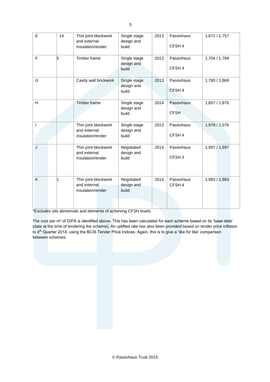| E | 14 | Thin joint blockwork<br>and external<br>insulation/render | Single stage<br>design and<br>build | 2013 | Passivhaus<br>CFSH <sub>4</sub> | 1,672/1,757   |
|---|----|-----------------------------------------------------------|-------------------------------------|------|---------------------------------|---------------|
| F | 5  | Timber frame                                              | Single stage<br>design and<br>build | 2013 | Passivhaus<br>CFSH <sub>4</sub> | 1,704 / 1,789 |
| G |    | Cavity wall brickwork                                     | Single stage<br>design and<br>build | 2013 | Passivhaus<br>CFSH <sub>4</sub> | 1,780 / 1,869 |
| H |    | <b>Timber frame</b>                                       | Single stage<br>design and<br>build | 2014 | Passivhaus<br><b>CFSH</b>       | 1,857 / 1,876 |
|   |    | Thin joint blockwork<br>and external<br>insulation/render | Single stage<br>design and<br>build | 2013 | Passivhaus<br>CFSH <sub>4</sub> | 1,978 / 2,076 |
| J |    | Thin joint blockwork<br>and external<br>insulation/render | Negotiated<br>design and<br>build   | 2014 | Passivhaus<br>CFSH <sub>3</sub> | 1,997 / 1,997 |
| K | 1  | Thin joint blockwork<br>and external<br>insulation/render | Negotiated<br>design and<br>build   | 2014 | Passivhaus<br>CFSH <sub>4</sub> | 1,983 / 1,983 |

\*Excludes site abnormals and elements of achieving CFSH levels

The cost per m² of GIFA is identified above. This has been calculated for each scheme based on its 'base date' (date at the time of tendering the scheme). An uplifted rate has also been provided based on tender price inflation to 4<sup>th</sup> Quarter 2014, using the BCIS Tender Price Indices. Again, this is to give a 'like for like' comparison between schemes.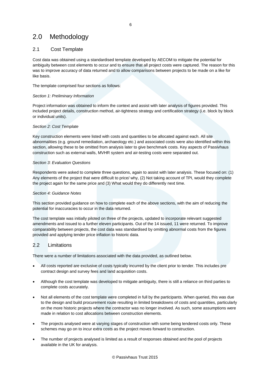# 2.0 Methodology

# 2.1 Cost Template

Cost data was obtained using a standardised template developed by AECOM to mitigate the potential for ambiguity between cost elements to occur and to ensure that all project costs were captured. The reason for this was to improve accuracy of data returned and to allow comparisons between projects to be made on a like for like basis.

The template comprised four sections as follows:

# *Section 1: Preliminary Information*

Project information was obtained to inform the context and assist with later analysis of figures provided. This included project details, construction method, air-tightness strategy and certification strategy (i.e. block by block or individual units).

## *Section 2: Cost Template*

Key construction elements were listed with costs and quantities to be allocated against each. All site abnormalities (e.g. ground remediation, archaeology etc.) and associated costs were also identified within this section, allowing these to be omitted from analysis later to give benchmark costs. Key aspects of Passivhaus construction such as external walls, MVHR system and air-testing costs were separated out.

# *Section 3: Evaluation Questions*

Respondents were asked to complete three questions, again to assist with later analysis. These focused on: (1) Any elements of the project that were difficult to price/ why, (2) Not taking account of TPI, would they complete the project again for the same price and (3) What would they do differently next time.

## *Section 4: Guidance Notes*

This section provided guidance on how to complete each of the above sections, with the aim of reducing the potential for inaccuracies to occur in the data returned.

The cost template was initially piloted on three of the projects, updated to incorporate relevant suggested amendments and issued to a further eleven participants. Out of the 14 issued, 11 were returned. To improve comparability between projects, the cost data was standardised by omitting abnormal costs from the figures provided and applying tender price inflation to historic data.

# 2.2 Limitations

There were a number of limitations associated with the data provided, as outlined below.

- All costs reported are exclusive of costs typically incurred by the client prior to tender. This includes pre contract design and survey fees and land acquisition costs.
- Although the cost template was developed to mitigate ambiguity, there is still a reliance on third parties to complete costs accurately.
- Not all elements of the cost template were completed in full by the participants. When queried, this was due to the design and build procurement route resulting in limited breakdowns of costs and quantities, particularly on the more historic projects where the contractor was no longer involved. As such, some assumptions were made in relation to cost allocations between construction elements.
- The projects analysed were at varying stages of construction with some being tendered costs only. These schemes may go on to incur extra costs as the project moves forward to construction.
- The number of projects analysed is limited as a result of responses obtained and the pool of projects available in the UK for analysis.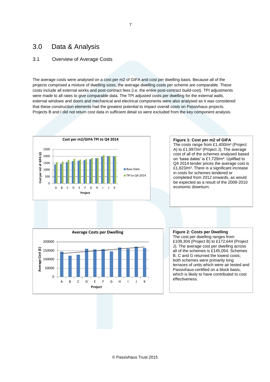# 3.0 Data & Analysis

# 3.1 Overview of Average Costs

The average costs were analysed on a cost per m2 of GIFA and cost per dwelling basis. Because all of the projects comprised a mixture of dwelling sizes, the average dwelling costs per scheme are comparable. These costs include all external works and post-contract fees (i.e. the entire post-contract build-cost). TPI adjustments were made to all rates to give comparable data. The TPI adjusted costs per dwelling for the external walls, external windows and doors and mechanical and electrical components were also analysed as it was considered that these construction elements had the greatest potential to impact overall costs on Passivhaus projects. Projects B and I did not return cost data in sufficient detail so were excluded from the key component analysis.

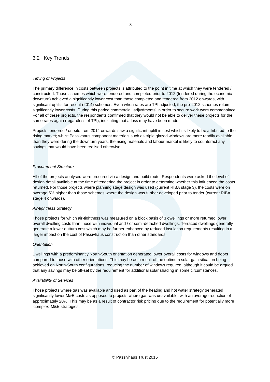# 3.2 Key Trends

## *Timing of Projects*

The primary difference in costs between projects is attributed to the point in time at which they were tendered / constructed. Those schemes which were tendered and completed prior to 2012 (tendered during the economic downturn) achieved a significantly lower cost than those completed and tendered from 2012 onwards, with significant uplifts for recent (2014) schemes. Even when rates are TPI adjusted, the pre-2012 schemes retain significantly lower costs. During this period commercial 'adjustments' in order to secure work were commonplace. For all of these projects, the respondents confirmed that they would not be able to deliver these projects for the same rates again (regardless of TPI), indicating that a loss may have been made.

Projects tendered / on-site from 2014 onwards saw a significant uplift in cost which is likely to be attributed to the rising market; whilst Passivhaus component materials such as triple glazed windows are more readily available than they were during the downturn years, the rising materials and labour market is likely to counteract any savings that would have been realised otherwise.

## *Procurement Structure*

All of the projects analysed were procured via a design and build route. Respondents were asked the level of design detail available at the time of tendering the project in order to determine whether this influenced the costs returned. For those projects where planning stage design was used (current RIBA stage 3), the costs were on average 5% higher than those schemes where the design was further developed prior to tender (current RIBA stage 4 onwards).

#### *Air-tightness Strategy*

Those projects for which air-tightness was measured on a block basis of 3 dwellings or more returned lower overall dwelling costs than those with individual and / or semi-detached dwellings. Terraced dwellings generally generate a lower outturn cost which may be further enhanced by reduced insulation requirements resulting in a larger impact on the cost of Passivhaus construction than other standards.

#### *Orientation*

Dwellings with a predominantly North-South orientation generated lower overall costs for windows and doors compared to those with other orientations. This may be as a result of the optimum solar gain situation being achieved on North-South configurations, reducing the number of windows required; although it could be argued that any savings may be off-set by the requirement for additional solar shading in some circumstances.

#### *Availability of Services*

Those projects where gas was available and used as part of the heating and hot water strategy generated significantly lower M&E costs as opposed to projects where gas was unavailable, with an average reduction of approximately 20%. This may be as a result of contractor risk pricing due to the requirement for potentially more 'complex' M&E strategies.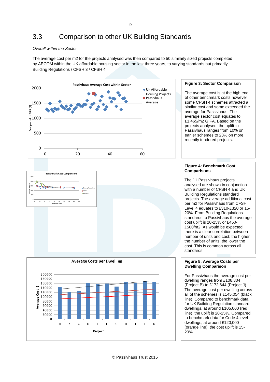## *Overall within the Sector*

**Benchmark Cost Comparisons**

1500 2000 2500

> 20000  $\theta$

> > B

A

 $\mathsf C$ 

D

 $\mathsf{E}$ 

Project

F

G

 $H$ 

The average cost per m2 for the projects analysed was then compared to 50 similarly sized projects completed by AECOM within the UK affordable housing sector in the last three years, to varying standards but primarily Building Regulations / CFSH 3 / CFSH 4.



The average cost is at the high end of other benchmark costs however some CFSH 4 schemes attracted a similar cost and some exceeded the average for Passivhaus. The average sector cost equates to £1,465/m2 GIFA. Based on the projects analysed, the uplift to Passivhaus ranges from 10% on earlier schemes to 23% on more recently tendered projects.

**Figure 3: Sector Comparison**

**Figure 4: Benchmark Cost** 



with a number of CFSH 4 and UK Building Regulations standard projects. The average additional cost per m2 for Passivhaus from CFSH Level 4 equates to £310-£320 or 15- 20%. From Building Regulations standards to Passivhaus the average cost uplift is 20-25% or £450- £500/m2. As would be expected, there is a clear correlation between number of units and cost; the higher the number of units, the lower the cost. This is common across all standards.

## **Figure 5: Average Costs per Dwelling Comparison**

For Passivhaus the average cost per dwelling ranges from £108,304 (Project B) to £172,644 (Project J). The average cost per dwelling across all of the schemes is £145,054 (black line). Compared to benchmark data for UK Building Regulation standard dwellings, at around £105,000 (red line), the uplift is 20-25%. Compared to benchmark data for Code 4 level dwellings, at around £120,000 (orange line), the cost uplift is 15- 20%.



© Passivhaus Trust 2015

 $\mathbf{I}$ 

 $\mathbf{J}$ 

К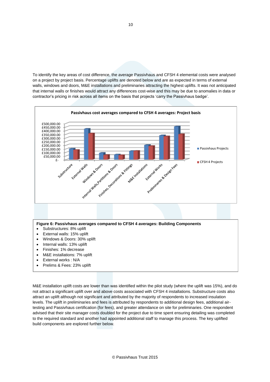To identify the key areas of cost difference, the average Passivhaus and CFSH 4 elemental costs were analysed on a project by project basis. Percentage uplifts are denoted below and are as expected in terms of external walls, windows and doors, M&E installations and preliminaries attracting the highest uplifts. It was not anticipated that internal walls or finishes would attract any differences cost-wise and this may be due to anomalies in data or contractor's pricing in risk across all items on the basis that projects 'carry the Passivhaus badge'.



#### **Figure 6: Passivhaus averages compared to CFSH 4 averages: Building Components**

- Substructures: 8% uplift
- External walls: 15% uplift
- Windows & Doors: 30% uplift
- Internal walls: 13% uplift
- Finishes: 1% decrease
- M&E installations: 7% uplift
- External works : N/A
- Prelims & Fees: 23% uplift

M&E installation uplift costs are lower than was identified within the pilot study (where the uplift was 15%), and do not attract a significant uplift over and above costs associated with CFSH 4 installations. Substructure costs also attract an uplift although not significant and attributed by the majority of respondents to increased insulation levels. The uplift in preliminaries and fees is attributed by respondents to additional design fees, additional airtesting and Passivhaus certification (for fees), and greater attendance on site for preliminaries. One respondent advised that their site manager costs doubled for the project due to time spent ensuring detailing was completed to the required standard and another had appointed additional staff to manage this process. The key uplifted build components are explored further below.